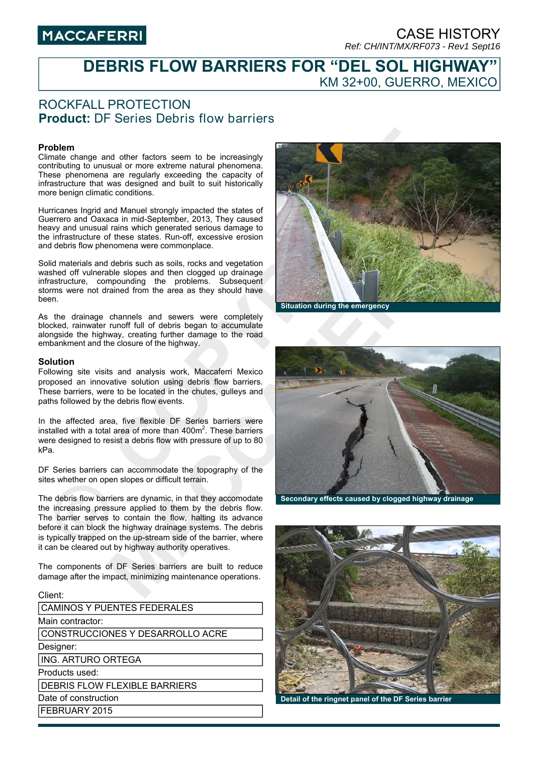# **MACCAFERRI**

### CASE HISTORY *Ref: CH/INT/MX/RF073 - Rev1 Sept16*

## **DEBRIS FLOW BARRIERS FOR "DEL SOL HIGHWAY"**  KM 32+00, GUERRO, MEXICO

### ROCKFALL PROTECTION **Product:** DF Series Debris flow barriers

#### **Problem**

Climate change and other factors seem to be increasingly contributing to unusual or more extreme natural phenomena. These phenomena are regularly exceeding the capacity of infrastructure that was designed and built to suit historically more benign climatic conditions.

Hurricanes Ingrid and Manuel strongly impacted the states of Guerrero and Oaxaca in mid-September, 2013, They caused heavy and unusual rains which generated serious damage to the infrastructure of these states. Run-off, excessive erosion and debris flow phenomena were commonplace.

Solid materials and debris such as soils, rocks and vegetation washed off vulnerable slopes and then clogged up drainage infrastructure, compounding the problems. Subsequent storms were not drained from the area as they should have been.

As the drainage channels and sewers were completely blocked, rainwater runoff full of debris began to accumulate alongside the highway, creating further damage to the road embankment and the closure of the highway.

#### **Solution**

Following site visits and analysis work, Maccaferri Mexico proposed an innovative solution using debris flow barriers. These barriers, were to be located in the chutes, gulleys and paths followed by the debris flow events.

In the affected area, five flexible DF Series barriers were installed with a total area of more than  $400m^2$ . These barriers were designed to resist a debris flow with pressure of up to 80 kPa.

DF Series barriers can accommodate the topography of the sites whether on open slopes or difficult terrain.

The debris flow barriers are dynamic, in that they accomodate the increasing pressure applied to them by the debris flow. The barrier serves to contain the flow, halting its advance before it can block the highway drainage systems. The debris is typically trapped on the up-stream side of the barrier, where it can be cleared out by highway authority operatives.

The components of DF Series barriers are built to reduce damage after the impact, minimizing maintenance operations.

| Client:                              |
|--------------------------------------|
| CAMINOS Y PUENTES FEDERALES          |
| Main contractor:                     |
| CONSTRUCCIONES Y DESARROLLO ACRE     |
| Designer:                            |
| <b>ING. ARTURO ORTEGA</b>            |
| Products used:                       |
| <b>DEBRIS FLOW FLEXIBLE BARRIERS</b> |
| Date of construction                 |
| <b>FEBRUARY 2015</b>                 |
|                                      |





**Secondary effects caused by clogged highway drainage** 



**Detail of the ringnet panel of the DF Series barrier**